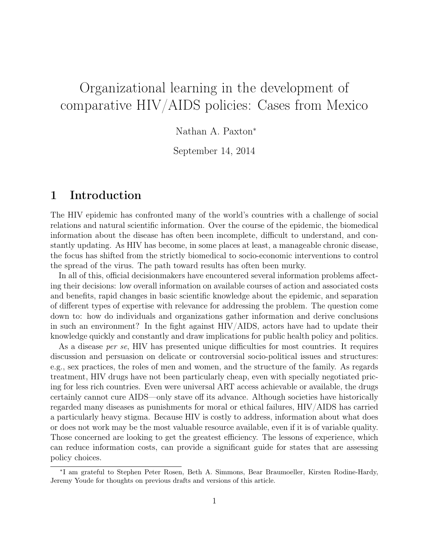# Organizational learning in the development of comparative HIV/AIDS policies: Cases from Mexico

Nathan A. Paxton<sup>∗</sup>

September 14, 2014

### 1 Introduction

The HIV epidemic has confronted many of the world's countries with a challenge of social relations and natural scientific information. Over the course of the epidemic, the biomedical information about the disease has often been incomplete, difficult to understand, and constantly updating. As HIV has become, in some places at least, a manageable chronic disease, the focus has shifted from the strictly biomedical to socio-economic interventions to control the spread of the virus. The path toward results has often been murky.

In all of this, official decisionmakers have encountered several information problems affecting their decisions: low overall information on available courses of action and associated costs and benefits, rapid changes in basic scientific knowledge about the epidemic, and separation of different types of expertise with relevance for addressing the problem. The question come down to: how do individuals and organizations gather information and derive conclusions in such an environment? In the fight against HIV/AIDS, actors have had to update their knowledge quickly and constantly and draw implications for public health policy and politics.

As a disease *per se*, HIV has presented unique difficulties for most countries. It requires discussion and persuasion on delicate or controversial socio-political issues and structures: e.g., sex practices, the roles of men and women, and the structure of the family. As regards treatment, HIV drugs have not been particularly cheap, even with specially negotiated pricing for less rich countries. Even were universal ART access achievable or available, the drugs certainly cannot cure AIDS—only stave off its advance. Although societies have historically regarded many diseases as punishments for moral or ethical failures, HIV/AIDS has carried a particularly heavy stigma. Because HIV is costly to address, information about what does or does not work may be the most valuable resource available, even if it is of variable quality. Those concerned are looking to get the greatest efficiency. The lessons of experience, which can reduce information costs, can provide a significant guide for states that are assessing policy choices.

<sup>∗</sup> I am grateful to Stephen Peter Rosen, Beth A. Simmons, Bear Braumoeller, Kirsten Rodine-Hardy, Jeremy Youde for thoughts on previous drafts and versions of this article.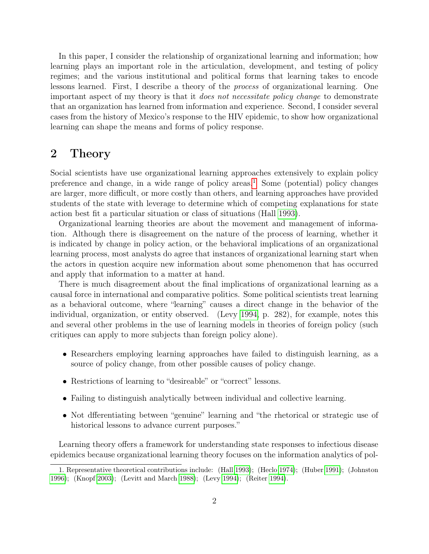In this paper, I consider the relationship of organizational learning and information; how learning plays an important role in the articulation, development, and testing of policy regimes; and the various institutional and political forms that learning takes to encode lessons learned. First, I describe a theory of the process of organizational learning. One important aspect of my theory is that it does not necessitate policy change to demonstrate that an organization has learned from information and experience. Second, I consider several cases from the history of Mexico's response to the HIV epidemic, to show how organizational learning can shape the means and forms of policy response.

### 2 Theory

Social scientists have use organizational learning approaches extensively to explain policy preference and change, in a wide range of policy areas.<sup>[1](#page-1-0)</sup> Some (potential) policy changes are larger, more difficult, or more costly than others, and learning approaches have provided students of the state with leverage to determine which of competing explanations for state action best fit a particular situation or class of situations (Hall [1993\)](#page-25-0).

Organizational learning theories are about the movement and management of information. Although there is disagreement on the nature of the process of learning, whether it is indicated by change in policy action, or the behavioral implications of an organizational learning process, most analysts do agree that instances of organizational learning start when the actors in question acquire new information about some phenomenon that has occurred and apply that information to a matter at hand.

There is much disagreement about the final implications of organizational learning as a causal force in international and comparative politics. Some political scientists treat learning as a behavioral outcome, where "learning" causes a direct change in the behavior of the individual, organization, or entity observed. (Levy [1994,](#page-26-0) p. 282), for example, notes this and several other problems in the use of learning models in theories of foreign policy (such critiques can apply to more subjects than foreign policy alone).

- Researchers employing learning approaches have failed to distinguish learning, as a source of policy change, from other possible causes of policy change.
- Restrictions of learning to "desireable" or "correct" lessons.
- Failing to distinguish analytically between individual and collective learning.
- Not dfferentiating between "genuine" learning and "the rhetorical or strategic use of historical lessons to advance current purposes."

Learning theory offers a framework for understanding state responses to infectious disease epidemics because organizational learning theory focuses on the information analytics of pol-

<span id="page-1-0"></span><sup>1.</sup> Representative theoretical contributions include: (Hall [1993\)](#page-25-0); (Heclo [1974\)](#page-25-1); (Huber [1991\)](#page-25-2); (Johnston [1996\)](#page-25-3); (Knopf [2003\)](#page-26-1); (Levitt and March [1988\)](#page-26-2); (Levy [1994\)](#page-26-0); (Reiter [1994\)](#page-26-3).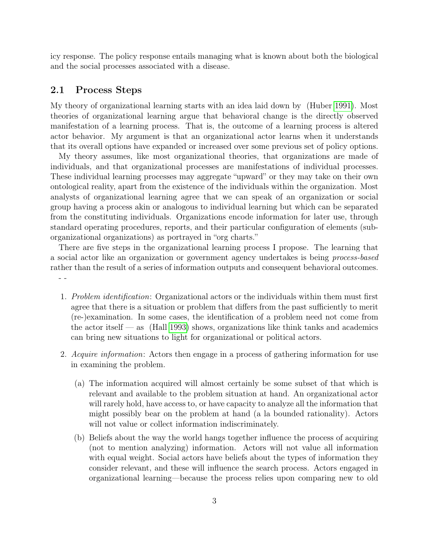icy response. The policy response entails managing what is known about both the biological and the social processes associated with a disease.

#### 2.1 Process Steps

My theory of organizational learning starts with an idea laid down by (Huber [1991\)](#page-25-2). Most theories of organizational learning argue that behavioral change is the directly observed manifestation of a learning process. That is, the outcome of a learning process is altered actor behavior. My argument is that an organizational actor learns when it understands that its overall options have expanded or increased over some previous set of policy options.

My theory assumes, like most organizational theories, that organizations are made of individuals, and that organizational processes are manifestations of individual processes. These individual learning processes may aggregate "upward" or they may take on their own ontological reality, apart from the existence of the individuals within the organization. Most analysts of organizational learning agree that we can speak of an organization or social group having a process akin or analogous to individual learning but which can be separated from the constituting individuals. Organizations encode information for later use, through standard operating procedures, reports, and their particular configuration of elements (suborganizational organizations) as portrayed in "org charts."

There are five steps in the organizational learning process I propose. The learning that a social actor like an organization or government agency undertakes is being process-based rather than the result of a series of information outputs and consequent behavioral outcomes. - -

- 1. Problem identification: Organizational actors or the individuals within them must first agree that there is a situation or problem that differs from the past sufficiently to merit (re-)examination. In some cases, the identification of a problem need not come from the actor itself — as (Hall [1993\)](#page-25-0) shows, organizations like think tanks and academics can bring new situations to light for organizational or political actors.
- 2. Acquire information: Actors then engage in a process of gathering information for use in examining the problem.
	- (a) The information acquired will almost certainly be some subset of that which is relevant and available to the problem situation at hand. An organizational actor will rarely hold, have access to, or have capacity to analyze all the information that might possibly bear on the problem at hand (a la bounded rationality). Actors will not value or collect information indiscriminately.
	- (b) Beliefs about the way the world hangs together influence the process of acquiring (not to mention analyzing) information. Actors will not value all information with equal weight. Social actors have beliefs about the types of information they consider relevant, and these will influence the search process. Actors engaged in organizational learning—because the process relies upon comparing new to old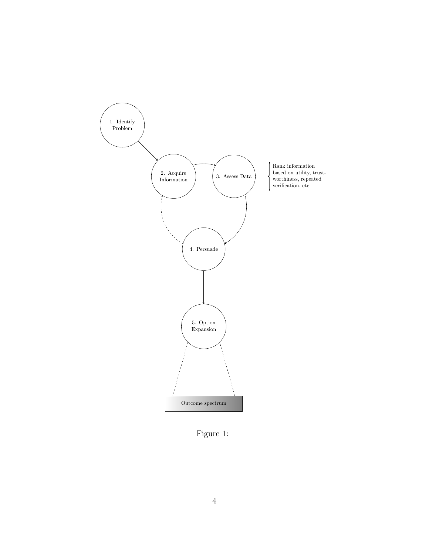

Figure 1: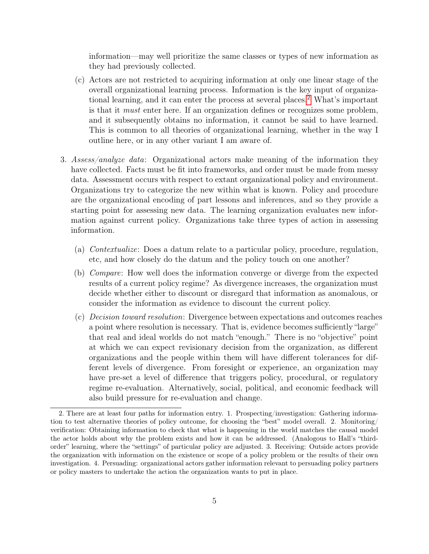information—may well prioritize the same classes or types of new information as they had previously collected.

- (c) Actors are not restricted to acquiring information at only one linear stage of the overall organizational learning process. Information is the key input of organiza-tional learning, and it can enter the process at several places.<sup>[2](#page-4-0)</sup> What's important is that it must enter here. If an organization defines or recognizes some problem, and it subsequently obtains no information, it cannot be said to have learned. This is common to all theories of organizational learning, whether in the way I outline here, or in any other variant I am aware of.
- 3. Assess/analyze data: Organizational actors make meaning of the information they have collected. Facts must be fit into frameworks, and order must be made from messy data. Assessment occurs with respect to extant organizational policy and environment. Organizations try to categorize the new within what is known. Policy and procedure are the organizational encoding of part lessons and inferences, and so they provide a starting point for assessing new data. The learning organization evaluates new information against current policy. Organizations take three types of action in assessing information.
	- (a) Contextualize: Does a datum relate to a particular policy, procedure, regulation, etc, and how closely do the datum and the policy touch on one another?
	- (b) Compare: How well does the information converge or diverge from the expected results of a current policy regime? As divergence increases, the organization must decide whether either to discount or disregard that information as anomalous, or consider the information as evidence to discount the current policy.
	- (c) Decision toward resolution: Divergence between expectations and outcomes reaches a point where resolution is necessary. That is, evidence becomes sufficiently "large" that real and ideal worlds do not match "enough." There is no "objective" point at which we can expect revisionary decision from the organization, as different organizations and the people within them will have different tolerances for different levels of divergence. From foresight or experience, an organization may have pre-set a level of difference that triggers policy, procedural, or regulatory regime re-evaluation. Alternatively, social, political, and economic feedback will also build pressure for re-evaluation and change.

<span id="page-4-0"></span><sup>2.</sup> There are at least four paths for information entry. 1. Prospecting/investigation: Gathering information to test alternative theories of policy outcome, for choosing the "best" model overall. 2. Monitoring/ verification: Obtaining information to check that what is happening in the world matches the causal model the actor holds about why the problem exists and how it can be addressed. (Analogous to Hall's "thirdorder" learning, where the "settings" of particular policy are adjusted. 3. Receiving: Outside actors provide the organization with information on the existence or scope of a policy problem or the results of their own investigation. 4. Persuading: organizational actors gather information relevant to persuading policy partners or policy masters to undertake the action the organization wants to put in place.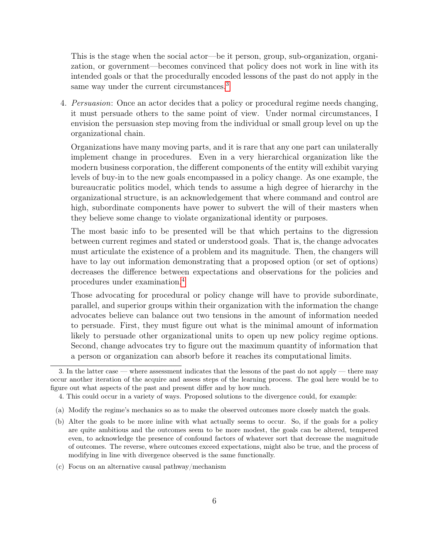This is the stage when the social actor—be it person, group, sub-organization, organization, or government—becomes convinced that policy does not work in line with its intended goals or that the procedurally encoded lessons of the past do not apply in the same way under the current circumstances.<sup>[3](#page-5-0)</sup>

4. Persuasion: Once an actor decides that a policy or procedural regime needs changing, it must persuade others to the same point of view. Under normal circumstances, I envision the persuasion step moving from the individual or small group level on up the organizational chain.

Organizations have many moving parts, and it is rare that any one part can unilaterally implement change in procedures. Even in a very hierarchical organization like the modern business corporation, the different components of the entity will exhibit varying levels of buy-in to the new goals encompassed in a policy change. As one example, the bureaucratic politics model, which tends to assume a high degree of hierarchy in the organizational structure, is an acknowledgement that where command and control are high, subordinate components have power to subvert the will of their masters when they believe some change to violate organizational identity or purposes.

The most basic info to be presented will be that which pertains to the digression between current regimes and stated or understood goals. That is, the change advocates must articulate the existence of a problem and its magnitude. Then, the changers will have to lay out information demonstrating that a proposed option (or set of options) decreases the difference between expectations and observations for the policies and procedures under examination.[4](#page-5-1)

Those advocating for procedural or policy change will have to provide subordinate, parallel, and superior groups within their organization with the information the change advocates believe can balance out two tensions in the amount of information needed to persuade. First, they must figure out what is the minimal amount of information likely to persuade other organizational units to open up new policy regime options. Second, change advocates try to figure out the maximum quantity of information that a person or organization can absorb before it reaches its computational limits.

(c) Focus on an alternative causal pathway/mechanism

<span id="page-5-0"></span><sup>3.</sup> In the latter case — where assessment indicates that the lessons of the past do not apply — there may occur another iteration of the acquire and assess steps of the learning process. The goal here would be to figure out what aspects of the past and present differ and by how much.

<span id="page-5-1"></span><sup>4.</sup> This could occur in a variety of ways. Proposed solutions to the divergence could, for example:

<sup>(</sup>a) Modify the regime's mechanics so as to make the observed outcomes more closely match the goals.

<sup>(</sup>b) Alter the goals to be more inline with what actually seems to occur. So, if the goals for a policy are quite ambitious and the outcomes seem to be more modest, the goals can be altered, tempered even, to acknowledge the presence of confound factors of whatever sort that decrease the magnitude of outcomes. The reverse, where outcomes exceed expectations, might also be true, and the process of modifying in line with divergence observed is the same functionally.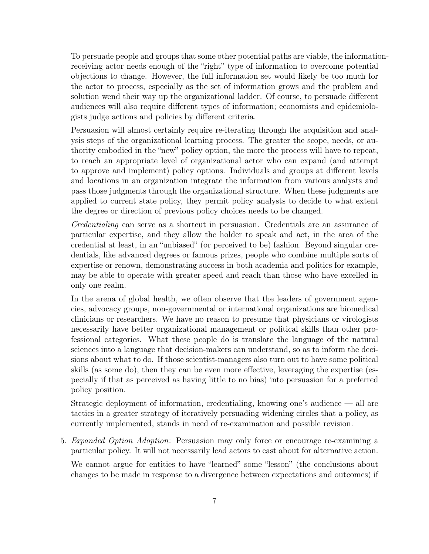To persuade people and groups that some other potential paths are viable, the informationreceiving actor needs enough of the "right" type of information to overcome potential objections to change. However, the full information set would likely be too much for the actor to process, especially as the set of information grows and the problem and solution wend their way up the organizational ladder. Of course, to persuade different audiences will also require different types of information; economists and epidemiologists judge actions and policies by different criteria.

Persuasion will almost certainly require re-iterating through the acquisition and analysis steps of the organizational learning process. The greater the scope, needs, or authority embodied in the "new" policy option, the more the process will have to repeat, to reach an appropriate level of organizational actor who can expand (and attempt to approve and implement) policy options. Individuals and groups at different levels and locations in an organization integrate the information from various analysts and pass those judgments through the organizational structure. When these judgments are applied to current state policy, they permit policy analysts to decide to what extent the degree or direction of previous policy choices needs to be changed.

Credentialing can serve as a shortcut in persuasion. Credentials are an assurance of particular expertise, and they allow the holder to speak and act, in the area of the credential at least, in an "unbiased" (or perceived to be) fashion. Beyond singular credentials, like advanced degrees or famous prizes, people who combine multiple sorts of expertise or renown, demonstrating success in both academia and politics for example, may be able to operate with greater speed and reach than those who have excelled in only one realm.

In the arena of global health, we often observe that the leaders of government agencies, advocacy groups, non-governmental or international organizations are biomedical clinicians or researchers. We have no reason to presume that physicians or virologists necessarily have better organizational management or political skills than other professional categories. What these people do is translate the language of the natural sciences into a language that decision-makers can understand, so as to inform the decisions about what to do. If those scientist-managers also turn out to have some political skills (as some do), then they can be even more effective, leveraging the expertise (especially if that as perceived as having little to no bias) into persuasion for a preferred policy position.

Strategic deployment of information, credentialing, knowing one's audience — all are tactics in a greater strategy of iteratively persuading widening circles that a policy, as currently implemented, stands in need of re-examination and possible revision.

5. Expanded Option Adoption: Persuasion may only force or encourage re-examining a particular policy. It will not necessarily lead actors to cast about for alternative action.

We cannot argue for entities to have "learned" some "lesson" (the conclusions about changes to be made in response to a divergence between expectations and outcomes) if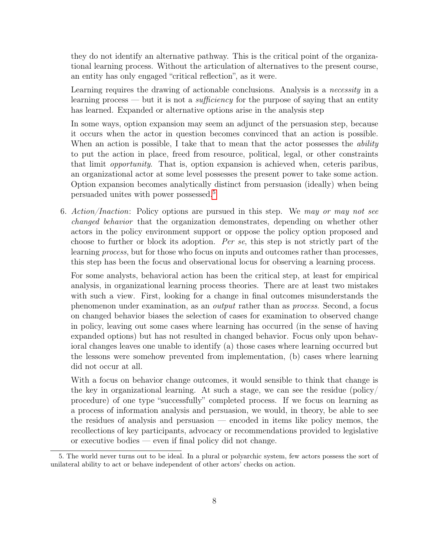they do not identify an alternative pathway. This is the critical point of the organizational learning process. Without the articulation of alternatives to the present course, an entity has only engaged "critical reflection", as it were.

Learning requires the drawing of actionable conclusions. Analysis is a necessity in a learning process — but it is not a *sufficiency* for the purpose of saying that an entity has learned. Expanded or alternative options arise in the analysis step

In some ways, option expansion may seem an adjunct of the persuasion step, because it occurs when the actor in question becomes convinced that an action is possible. When an action is possible, I take that to mean that the actor possesses the *ability* to put the action in place, freed from resource, political, legal, or other constraints that limit opportunity. That is, option expansion is achieved when, ceteris paribus, an organizational actor at some level possesses the present power to take some action. Option expansion becomes analytically distinct from persuasion (ideally) when being persuaded unites with power possessed.[5](#page-7-0)

6. Action/Inaction: Policy options are pursued in this step. We may or may not see changed behavior that the organization demonstrates, depending on whether other actors in the policy environment support or oppose the policy option proposed and choose to further or block its adoption. Per se, this step is not strictly part of the learning process, but for those who focus on inputs and outcomes rather than processes, this step has been the focus and observational locus for observing a learning process.

For some analysts, behavioral action has been the critical step, at least for empirical analysis, in organizational learning process theories. There are at least two mistakes with such a view. First, looking for a change in final outcomes misunderstands the phenomenon under examination, as an output rather than as process. Second, a focus on changed behavior biases the selection of cases for examination to observed change in policy, leaving out some cases where learning has occurred (in the sense of having expanded options) but has not resulted in changed behavior. Focus only upon behavioral changes leaves one unable to identify (a) those cases where learning occurred but the lessons were somehow prevented from implementation, (b) cases where learning did not occur at all.

With a focus on behavior change outcomes, it would sensible to think that change is the key in organizational learning. At such a stage, we can see the residue (policy/ procedure) of one type "successfully" completed process. If we focus on learning as a process of information analysis and persuasion, we would, in theory, be able to see the residues of analysis and persuasion — encoded in items like policy memos, the recollections of key participants, advocacy or recommendations provided to legislative or executive bodies — even if final policy did not change.

<span id="page-7-0"></span><sup>5.</sup> The world never turns out to be ideal. In a plural or polyarchic system, few actors possess the sort of unilateral ability to act or behave independent of other actors' checks on action.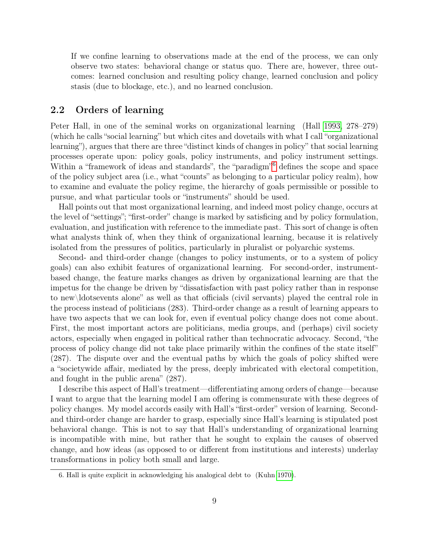If we confine learning to observations made at the end of the process, we can only observe two states: behavioral change or status quo. There are, however, three outcomes: learned conclusion and resulting policy change, learned conclusion and policy stasis (due to blockage, etc.), and no learned conclusion.

#### 2.2 Orders of learning

Peter Hall, in one of the seminal works on organizational learning (Hall [1993,](#page-25-0) 278–279) (which he calls "social learning" but which cites and dovetails with what I call "organizational learning"), argues that there are three "distinct kinds of changes in policy" that social learning processes operate upon: policy goals, policy instruments, and policy instrument settings. Within a "framework of ideas and standards", the "paradigm"<sup>[6](#page-8-0)</sup> defines the scope and space of the policy subject area (i.e., what "counts" as belonging to a particular policy realm), how to examine and evaluate the policy regime, the hierarchy of goals permissible or possible to pursue, and what particular tools or "instruments" should be used.

Hall points out that most organizational learning, and indeed most policy change, occurs at the level of "settings"; "first-order" change is marked by satisficing and by policy formulation, evaluation, and justification with reference to the immediate past. This sort of change is often what analysts think of, when they think of organizational learning, because it is relatively isolated from the pressures of politics, particularly in pluralist or polyarchic systems.

Second- and third-order change (changes to policy instuments, or to a system of policy goals) can also exhibit features of organizational learning. For second-order, instrumentbased change, the feature marks changes as driven by organizational learning are that the impetus for the change be driven by "dissatisfaction with past policy rather than in response to new\ldotsevents alone" as well as that officials (civil servants) played the central role in the process instead of politicians (283). Third-order change as a result of learning appears to have two aspects that we can look for, even if eventual policy change does not come about. First, the most important actors are politicians, media groups, and (perhaps) civil society actors, especially when engaged in political rather than technocratic advocacy. Second, "the process of policy change did not take place primarily within the confines of the state itself" (287). The dispute over and the eventual paths by which the goals of policy shifted were a "societywide affair, mediated by the press, deeply imbricated with electoral competition, and fought in the public arena" (287).

I describe this aspect of Hall's treatment—differentiating among orders of change—because I want to argue that the learning model I am offering is commensurate with these degrees of policy changes. My model accords easily with Hall's "first-order" version of learning. Secondand third-order change are harder to grasp, especially since Hall's learning is stipulated post behavioral change. This is not to say that Hall's understanding of organizational learning is incompatible with mine, but rather that he sought to explain the causes of observed change, and how ideas (as opposed to or different from institutions and interests) underlay transformations in policy both small and large.

<span id="page-8-0"></span><sup>6.</sup> Hall is quite explicit in acknowledging his analogical debt to (Kuhn [1970\)](#page-26-4).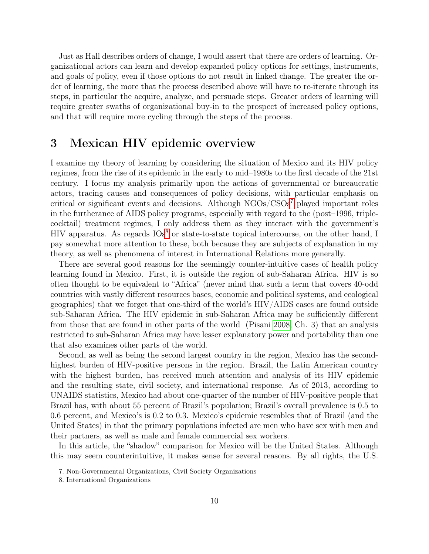Just as Hall describes orders of change, I would assert that there are orders of learning. Organizational actors can learn and develop expanded policy options for settings, instruments, and goals of policy, even if those options do not result in linked change. The greater the order of learning, the more that the process described above will have to re-iterate through its steps, in particular the acquire, analyze, and persuade steps. Greater orders of learning will require greater swaths of organizational buy-in to the prospect of increased policy options, and that will require more cycling through the steps of the process.

### 3 Mexican HIV epidemic overview

I examine my theory of learning by considering the situation of Mexico and its HIV policy regimes, from the rise of its epidemic in the early to mid–1980s to the first decade of the 21st century. I focus my analysis primarily upon the actions of governmental or bureaucratic actors, tracing causes and consequences of policy decisions, with particular emphasis on critical or significant events and decisions. Although  $NGOs/CSOs<sup>7</sup>$  $NGOs/CSOs<sup>7</sup>$  $NGOs/CSOs<sup>7</sup>$  played important roles in the furtherance of AIDS policy programs, especially with regard to the (post–1996, triplecocktail) treatment regimes, I only address them as they interact with the government's HIV apparatus. As regards  $IOS<sup>8</sup>$  $IOS<sup>8</sup>$  $IOS<sup>8</sup>$  or state-to-state topical intercourse, on the other hand, I pay somewhat more attention to these, both because they are subjects of explanation in my theory, as well as phenomena of interest in International Relations more generally.

There are several good reasons for the seemingly counter-intuitive cases of health policy learning found in Mexico. First, it is outside the region of sub-Saharan Africa. HIV is so often thought to be equivalent to "Africa" (never mind that such a term that covers 40-odd countries with vastly different resources bases, economic and political systems, and ecological geographies) that we forget that one-third of the world's HIV/AIDS cases are found outside sub-Saharan Africa. The HIV epidemic in sub-Saharan Africa may be sufficiently different from those that are found in other parts of the world (Pisani [2008,](#page-26-5) Ch. 3) that an analysis restricted to sub-Saharan Africa may have lesser explanatory power and portability than one that also examines other parts of the world.

Second, as well as being the second largest country in the region, Mexico has the secondhighest burden of HIV-positive persons in the region. Brazil, the Latin American country with the highest burden, has received much attention and analysis of its HIV epidemic and the resulting state, civil society, and international response. As of 2013, according to UNAIDS statistics, Mexico had about one-quarter of the number of HIV-positive people that Brazil has, with about 55 percent of Brazil's population; Brazil's overall prevalence is 0.5 to 0.6 percent, and Mexico's is 0.2 to 0.3. Mexico's epidemic resembles that of Brazil (and the United States) in that the primary populations infected are men who have sex with men and their partners, as well as male and female commercial sex workers.

In this article, the "shadow" comparison for Mexico will be the United States. Although this may seem counterintuitive, it makes sense for several reasons. By all rights, the U.S.

<span id="page-9-0"></span><sup>7.</sup> Non-Governmental Organizations, Civil Society Organizations

<span id="page-9-1"></span><sup>8.</sup> International Organizations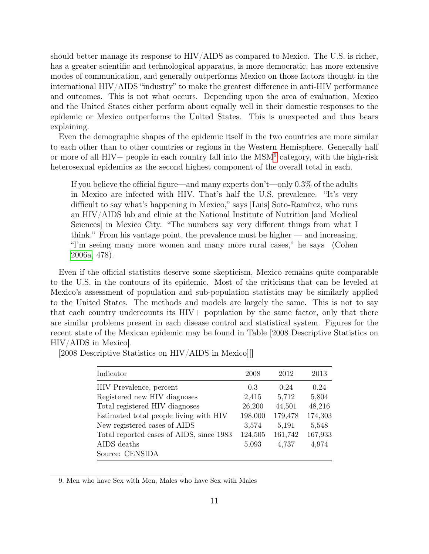should better manage its response to HIV/AIDS as compared to Mexico. The U.S. is richer, has a greater scientific and technological apparatus, is more democratic, has more extensive modes of communication, and generally outperforms Mexico on those factors thought in the international HIV/AIDS "industry" to make the greatest difference in anti-HIV performance and outcomes. This is not what occurs. Depending upon the area of evaluation, Mexico and the United States either perform about equally well in their domestic responses to the epidemic or Mexico outperforms the United States. This is unexpected and thus bears explaining.

Even the demographic shapes of the epidemic itself in the two countries are more similar to each other than to other countries or regions in the Western Hemisphere. Generally half or more of all HIV+ people in each country fall into the MSM<sup>[9](#page-10-0)</sup> category, with the high-risk heterosexual epidemics as the second highest component of the overall total in each.

If you believe the official figure—and many experts don't—only 0.3% of the adults in Mexico are infected with HIV. That's half the U.S. prevalence. "It's very difficult to say what's happening in Mexico," says [Luis] Soto-Ramírez, who runs an HIV/AIDS lab and clinic at the National Institute of Nutrition [and Medical Sciences] in Mexico City. "The numbers say very different things from what I think." From his vantage point, the prevalence must be higher  $-$  and increasing. "I'm seeing many more women and many more rural cases," he says (Cohen [2006a,](#page-25-4) 478).

Even if the official statistics deserve some skepticism, Mexico remains quite comparable to the U.S. in the contours of its epidemic. Most of the criticisms that can be leveled at Mexico's assessment of population and sub-population statistics may be similarly applied to the United States. The methods and models are largely the same. This is not to say that each country undercounts its  $H\ddot{I}V+$  population by the same factor, only that there are similar problems present in each disease control and statistical system. Figures for the recent state of the Mexican epidemic may be found in Table [2008 Descriptive Statistics on HIV/AIDS in Mexico].

| Indicator                                | 2008    | 2012    | 2013    |
|------------------------------------------|---------|---------|---------|
| HIV Prevalence, percent                  | 0.3     | 0.24    | 0.24    |
| Registered new HIV diagnoses             | 2,415   | 5,712   | 5,804   |
| Total registered HIV diagnoses           | 26,200  | 44,501  | 48,216  |
| Estimated total people living with HIV   | 198,000 | 179,478 | 174,303 |
| New registered cases of AIDS             | 3,574   | 5,191   | 5,548   |
| Total reported cases of AIDS, since 1983 | 124,505 | 161,742 | 167,933 |
| AIDS deaths                              | 5,093   | 4,737   | 4,974   |
| Source: CENSIDA                          |         |         |         |

[2008 Descriptive Statistics on HIV/AIDS in Mexico][]

<span id="page-10-0"></span><sup>9.</sup> Men who have Sex with Men, Males who have Sex with Males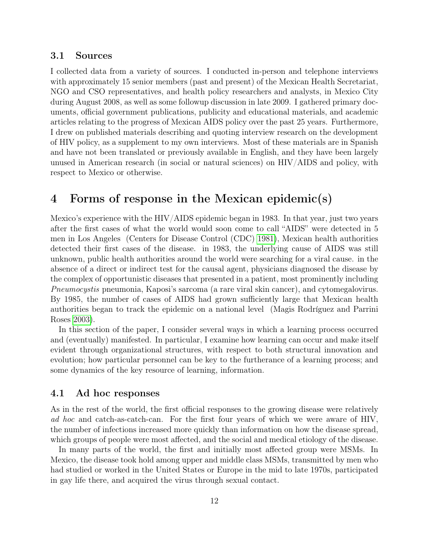#### 3.1 Sources

I collected data from a variety of sources. I conducted in-person and telephone interviews with approximately 15 senior members (past and present) of the Mexican Health Secretariat, NGO and CSO representatives, and health policy researchers and analysts, in Mexico City during August 2008, as well as some followup discussion in late 2009. I gathered primary documents, official government publications, publicity and educational materials, and academic articles relating to the progress of Mexican AIDS policy over the past 25 years. Furthermore, I drew on published materials describing and quoting interview research on the development of HIV policy, as a supplement to my own interviews. Most of these materials are in Spanish and have not been translated or previously available in English, and they have been largely unused in American research (in social or natural sciences) on HIV/AIDS and policy, with respect to Mexico or otherwise.

### 4 Forms of response in the Mexican epidemic(s)

Mexico's experience with the HIV/AIDS epidemic began in 1983. In that year, just two years after the first cases of what the world would soon come to call "AIDS" were detected in 5 men in Los Angeles (Centers for Disease Control (CDC) [1981\)](#page-25-5), Mexican health authorities detected their first cases of the disease. in 1983, the underlying cause of AIDS was still unknown, public health authorities around the world were searching for a viral cause. in the absence of a direct or indirect test for the causal agent, physicians diagnosed the disease by the complex of opportunistic diseases that presented in a patient, most prominently including Pneumocystis pneumonia, Kaposi's sarcoma (a rare viral skin cancer), and cytomegalovirus. By 1985, the number of cases of AIDS had grown sufficiently large that Mexican health authorities began to track the epidemic on a national level (Magis Rodríguez and Parrini Roses [2003\)](#page-26-6).

In this section of the paper, I consider several ways in which a learning process occurred and (eventually) manifested. In particular, I examine how learning can occur and make itself evident through organizational structures, with respect to both structural innovation and evolution; how particular personnel can be key to the furtherance of a learning process; and some dynamics of the key resource of learning, information.

#### 4.1 Ad hoc responses

As in the rest of the world, the first official responses to the growing disease were relatively ad hoc and catch-as-catch-can. For the first four years of which we were aware of HIV, the number of infections increased more quickly than information on how the disease spread, which groups of people were most affected, and the social and medical etiology of the disease.

In many parts of the world, the first and initially most affected group were MSMs. In Mexico, the disease took hold among upper and middle class MSMs, transmitted by men who had studied or worked in the United States or Europe in the mid to late 1970s, participated in gay life there, and acquired the virus through sexual contact.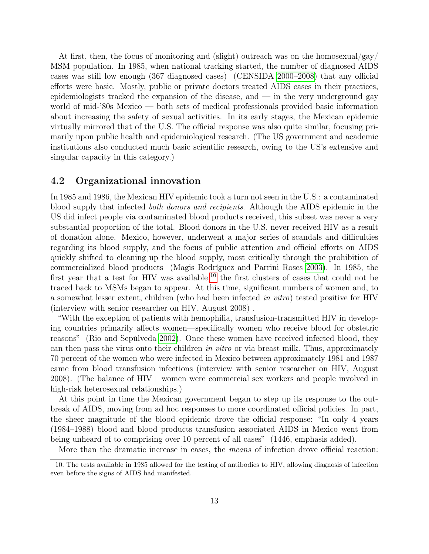At first, then, the focus of monitoring and (slight) outreach was on the homosexual/gay/ MSM population. In 1985, when national tracking started, the number of diagnosed AIDS cases was still low enough (367 diagnosed cases) (CENSIDA [2000–2008\)](#page-25-6) that any official efforts were basic. Mostly, public or private doctors treated AIDS cases in their practices, epidemiologists tracked the expansion of the disease, and  $-$  in the very underground gay world of mid-'80s Mexico — both sets of medical professionals provided basic information about increasing the safety of sexual activities. In its early stages, the Mexican epidemic virtually mirrored that of the U.S. The official response was also quite similar, focusing primarily upon public health and epidemiological research. (The US government and academic institutions also conducted much basic scientific research, owing to the US's extensive and singular capacity in this category.)

#### 4.2 Organizational innovation

In 1985 and 1986, the Mexican HIV epidemic took a turn not seen in the U.S.: a contaminated blood supply that infected both donors and recipients. Although the AIDS epidemic in the US did infect people via contaminated blood products received, this subset was never a very substantial proportion of the total. Blood donors in the U.S. never received HIV as a result of donation alone. Mexico, however, underwent a major series of scandals and difficulties regarding its blood supply, and the focus of public attention and official efforts on AIDS quickly shifted to cleaning up the blood supply, most critically through the prohibition of commercialized blood products (Magis Rodríguez and Parrini Roses [2003\)](#page-26-6). In 1985, the first year that a test for HIV was available,  $^{10}$  $^{10}$  $^{10}$  the first clusters of cases that could not be traced back to MSMs began to appear. At this time, significant numbers of women and, to a somewhat lesser extent, children (who had been infected in vitro) tested positive for HIV (interview with senior researcher on HIV, August 2008) .

"With the exception of patients with hemophilia, transfusion-transmitted HIV in developing countries primarily affects women—specifically women who receive blood for obstetric reasons" (Rio and Sepúlveda [2002\)](#page-26-7). Once these women have received infected blood, they can then pass the virus onto their children in vitro or via breast milk. Thus, approximately 70 percent of the women who were infected in Mexico between approximately 1981 and 1987 came from blood transfusion infections (interview with senior researcher on HIV, August 2008). (The balance of HIV+ women were commercial sex workers and people involved in high-risk heterosexual relationships.)

At this point in time the Mexican government began to step up its response to the outbreak of AIDS, moving from ad hoc responses to more coordinated official policies. In part, the sheer magnitude of the blood epidemic drove the official response: "In only 4 years (1984–1988) blood and blood products transfusion associated AIDS in Mexico went from being unheard of to comprising over 10 percent of all cases" (1446, emphasis added).

<span id="page-12-0"></span>More than the dramatic increase in cases, the means of infection drove official reaction:

<sup>10.</sup> The tests available in 1985 allowed for the testing of antibodies to HIV, allowing diagnosis of infection even before the signs of AIDS had manifested.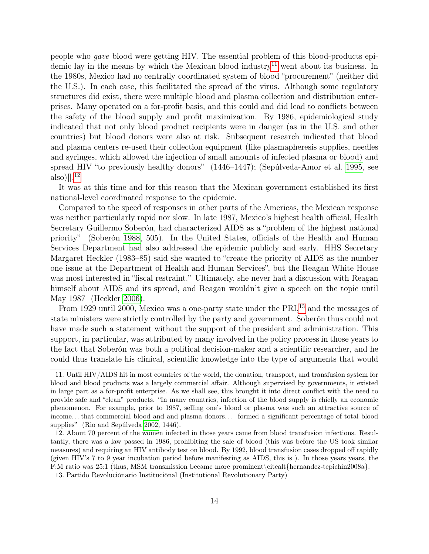people who gave blood were getting HIV. The essential problem of this blood-products epi-demic lay in the means by which the Mexican blood industry<sup>[11](#page-13-0)</sup> went about its business. In the 1980s, Mexico had no centrally coordinated system of blood "procurement" (neither did the U.S.). In each case, this facilitated the spread of the virus. Although some regulatory structures did exist, there were multiple blood and plasma collection and distribution enterprises. Many operated on a for-profit basis, and this could and did lead to conflicts between the safety of the blood supply and profit maximization. By 1986, epidemiological study indicated that not only blood product recipients were in danger (as in the U.S. and other countries) but blood donors were also at risk. Subsequent research indicated that blood and plasma centers re-used their collection equipment (like plasmapheresis supplies, needles and syringes, which allowed the injection of small amounts of infected plasma or blood) and spread HIV "to previously healthy donors" (1446–1447); (Sepúlveda-Amor et al. [1995,](#page-27-0) see also) $[]$ <sup>[12](#page-13-1)</sup>

It was at this time and for this reason that the Mexican government established its first national-level coordinated response to the epidemic.

Compared to the speed of responses in other parts of the Americas, the Mexican response was neither particularly rapid nor slow. In late 1987, Mexico's highest health official, Health Secretary Guillermo Soberón, had characterized AIDS as a "problem of the highest national priority" (Soberón [1988,](#page-27-1) 505). In the United States, officials of the Health and Human Services Department had also addressed the epidemic publicly and early. HHS Secretary Margaret Heckler (1983–85) said she wanted to "create the priority of AIDS as the number one issue at the Department of Health and Human Services", but the Reagan White House was most interested in "fiscal restraint." Ultimately, she never had a discussion with Reagan himself about AIDS and its spread, and Reagan wouldn't give a speech on the topic until May 1987 (Heckler [2006\)](#page-25-7).

From 1929 until 2000, Mexico was a one-party state under the PRI,<sup>[13](#page-13-2)</sup> and the messages of state ministers were strictly controlled by the party and government. Soberón thus could not have made such a statement without the support of the president and administration. This support, in particular, was attributed by many involved in the policy process in those years to the fact that Soberón was both a political decision-maker and a scientific researcher, and he could thus translate his clinical, scientific knowledge into the type of arguments that would

<span id="page-13-0"></span><sup>11.</sup> Until HIV/AIDS hit in most countries of the world, the donation, transport, and transfusion system for blood and blood products was a largely commercial affair. Although supervised by governments, it existed in large part as a for-profit enterprise. As we shall see, this brought it into direct conflict with the need to provide safe and "clean" products. "In many countries, infection of the blood supply is chiefly an economic phenomenon. For example, prior to 1987, selling one's blood or plasma was such an attractive source of income. . . that commercial blood and and plasma donors. . . formed a significant percentage of total blood supplies" (Rio and Sepúlveda [2002,](#page-26-7) 1446).

<span id="page-13-1"></span><sup>12.</sup> About 70 percent of the women infected in those years came from blood transfusion infections. Resultantly, there was a law passed in 1986, prohibiting the sale of blood (this was before the US took similar measures) and requiring an HIV antibody test on blood. By 1992, blood transfusion cases dropped off rapidly (given HIV's 7 to 9 year incubation period before manifesting as AIDS, this is ). In those years years, the F:M ratio was 25:1 (thus, MSM transmission became more prominent\citealt{hernandez-tepichin2008a}.

<span id="page-13-2"></span><sup>13.</sup> Partido Revoluciónario Instituciónal (Institutional Revolutionary Party)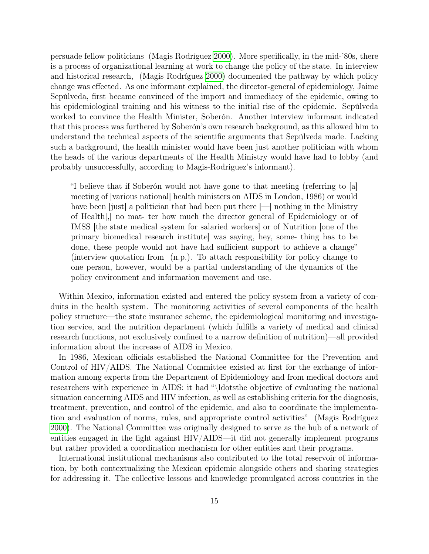persuade fellow politicians (Magis Rodríguez [2000\)](#page-26-8). More specifically, in the mid-'80s, there is a process of organizational learning at work to change the policy of the state. In interview and historical research, (Magis Rodríguez [2000\)](#page-26-8) documented the pathway by which policy change was effected. As one informant explained, the director-general of epidemiology, Jaime Sepúlveda, first became convinced of the import and immediacy of the epidemic, owing to his epidemiological training and his witness to the initial rise of the epidemic. Sepúlveda worked to convince the Health Minister, Soberón. Another interview informant indicated that this process was furthered by Soberón's own research background, as this allowed him to understand the technical aspects of the scientific arguments that Sepúlveda made. Lacking such a background, the health minister would have been just another politician with whom the heads of the various departments of the Health Ministry would have had to lobby (and probably unsuccessfully, according to Magis-Rodriguez's informant).

"I believe that if Soberón would not have gone to that meeting (referring to [a] meeting of [various national] health ministers on AIDS in London, 1986) or would have been [just] a politician that had been put there  $[-]$  nothing in the Ministry of Health[,] no mat- ter how much the director general of Epidemiology or of IMSS [the state medical system for salaried workers] or of Nutrition [one of the primary biomedical research institute] was saying, hey, some- thing has to be done, these people would not have had sufficient support to achieve a change" (interview quotation from (n.p.). To attach responsibility for policy change to one person, however, would be a partial understanding of the dynamics of the policy environment and information movement and use.

Within Mexico, information existed and entered the policy system from a variety of conduits in the health system. The monitoring activities of several components of the health policy structure—the state insurance scheme, the epidemiological monitoring and investigation service, and the nutrition department (which fulfills a variety of medical and clinical research functions, not exclusively confined to a narrow definition of nutrition)—all provided information about the increase of AIDS in Mexico.

In 1986, Mexican officials established the National Committee for the Prevention and Control of HIV/AIDS. The National Committee existed at first for the exchange of information among experts from the Department of Epidemiology and from medical doctors and researchers with experience in AIDS: it had "\ldotsthe objective of evaluating the national situation concerning AIDS and HIV infection, as well as establishing criteria for the diagnosis, treatment, prevention, and control of the epidemic, and also to coordinate the implementation and evaluation of norms, rules, and appropriate control activities" (Magis Rodríguez [2000\)](#page-26-8). The National Committee was originally designed to serve as the hub of a network of entities engaged in the fight against HIV/AIDS—it did not generally implement programs but rather provided a coordination mechanism for other entities and their programs.

International institutional mechanisms also contributed to the total reservoir of information, by both contextualizing the Mexican epidemic alongside others and sharing strategies for addressing it. The collective lessons and knowledge promulgated across countries in the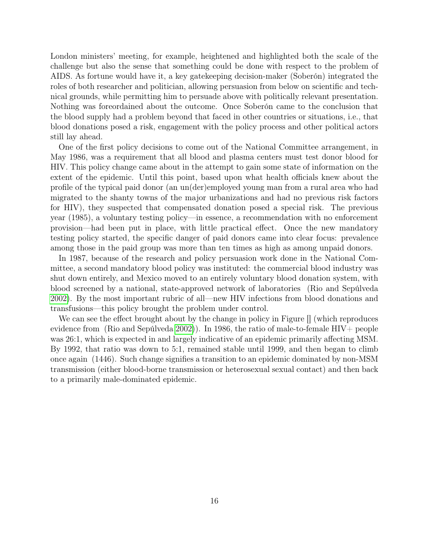London ministers' meeting, for example, heightened and highlighted both the scale of the challenge but also the sense that something could be done with respect to the problem of AIDS. As fortune would have it, a key gatekeeping decision-maker (Soberón) integrated the roles of both researcher and politician, allowing persuasion from below on scientific and technical grounds, while permitting him to persuade above with politically relevant presentation. Nothing was foreordained about the outcome. Once Soberón came to the conclusion that the blood supply had a problem beyond that faced in other countries or situations, i.e., that blood donations posed a risk, engagement with the policy process and other political actors still lay ahead.

One of the first policy decisions to come out of the National Committee arrangement, in May 1986, was a requirement that all blood and plasma centers must test donor blood for HIV. This policy change came about in the attempt to gain some state of information on the extent of the epidemic. Until this point, based upon what health officials knew about the profile of the typical paid donor (an un(der)employed young man from a rural area who had migrated to the shanty towns of the major urbanizations and had no previous risk factors for HIV), they suspected that compensated donation posed a special risk. The previous year (1985), a voluntary testing policy—in essence, a recommendation with no enforcement provision—had been put in place, with little practical effect. Once the new mandatory testing policy started, the specific danger of paid donors came into clear focus: prevalence among those in the paid group was more than ten times as high as among unpaid donors.

In 1987, because of the research and policy persuasion work done in the National Committee, a second mandatory blood policy was instituted: the commercial blood industry was shut down entirely, and Mexico moved to an entirely voluntary blood donation system, with blood screened by a national, state-approved network of laboratories (Rio and Sepúlveda [2002\)](#page-26-7). By the most important rubric of all—new HIV infections from blood donations and transfusions—this policy brought the problem under control.

We can see the effect brought about by the change in policy in Figure  $\parallel$  (which reproduces evidence from (Rio and Sepúlveda [2002\)](#page-26-7)). In 1986, the ratio of male-to-female  $HIV+$  people was 26:1, which is expected in and largely indicative of an epidemic primarily affecting MSM. By 1992, that ratio was down to 5:1, remained stable until 1999, and then began to climb once again (1446). Such change signifies a transition to an epidemic dominated by non-MSM transmission (either blood-borne transmission or heterosexual sexual contact) and then back to a primarily male-dominated epidemic.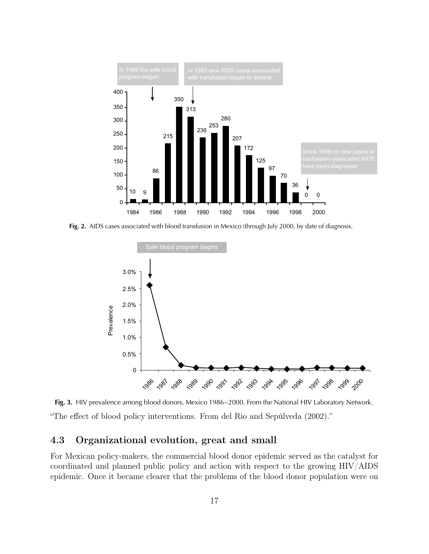

Fig. 2. AIDS cases associated with blood transfusion in Mexico (through July 2000, by date of diagnosis.



Fig. 3. HIV prevalence among blood donors, Mexico 1986–2000. From the National HIV Laboratory Network. "The effect of blood policy interventions. From del Rio and Sepúlveda (2002)."

#### 8 Organizational evolution great directly observational evolutions are the 4.3 Organizational evolution, great and small

For Mexican policy-makers, the commercial blood donor epidemic served as the catalyst for coordinated and planned public policy and action with respect to the growing  $HIV/ALDS$ tion of time of the plasma colorer that the problem pidenne. Once it became creater that the problem  $T_{\text{H}}$  is prevention of HIV  $\text{H}_{\text{H}}$  in  $\text{H}_{\text{H}}$ epidemic. Once it became clearer that the problems of the blood donor population were on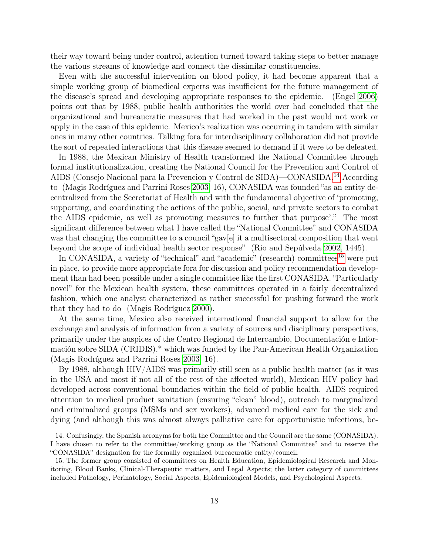their way toward being under control, attention turned toward taking steps to better manage the various streams of knowledge and connect the dissimilar constituencies.

Even with the successful intervention on blood policy, it had become apparent that a simple working group of biomedical experts was insufficient for the future management of the disease's spread and developing appropriate responses to the epidemic. (Engel [2006\)](#page-25-8) points out that by 1988, public health authorities the world over had concluded that the organizational and bureaucratic measures that had worked in the past would not work or apply in the case of this epidemic. Mexico's realization was occurring in tandem with similar ones in many other countries. Talking fora for interdisciplinary collaboration did not provide the sort of repeated interactions that this disease seemed to demand if it were to be defeated.

In 1988, the Mexican Ministry of Health transformed the National Committee through formal institutionalization, creating the National Council for the Prevention and Control of AIDS (Consejo Nacional para la Prevencion y Control de SIDA)—CONASIDA.[14](#page-17-0) According to (Magis Rodríguez and Parrini Roses [2003,](#page-26-6) 16), CONASIDA was founded "as an entity decentralized from the Secretariat of Health and with the fundamental objective of 'promoting, supporting, and coordinating the actions of the public, social, and private sectors to combat the AIDS epidemic, as well as promoting measures to further that purpose'." The most significant difference between what I have called the "National Committee" and CONASIDA was that changing the committee to a council "gav[e] it a multisectoral composition that went beyond the scope of individual health sector response" (Rio and Sepúlveda [2002,](#page-26-7) 1445).

In CONASIDA, a variety of "technical" and "academic" (research) committees<sup>[15](#page-17-1)</sup> were put in place, to provide more appropriate fora for discussion and policy recommendation development than had been possible under a single committee like the first CONASIDA. "Particularly novel" for the Mexican health system, these committees operated in a fairly decentralized fashion, which one analyst characterized as rather successful for pushing forward the work that they had to do (Magis Rodríguez [2000\)](#page-26-8).

At the same time, Mexico also received international financial support to allow for the exchange and analysis of information from a variety of sources and disciplinary perspectives, primarily under the auspices of the Centro Regional de Intercambio, Documentación e Información sobre SIDA (CRIDIS),\* which was funded by the Pan-American Health Organization (Magis Rodríguez and Parrini Roses [2003,](#page-26-6) 16).

By 1988, although HIV/AIDS was primarily still seen as a public health matter (as it was in the USA and most if not all of the rest of the affected world), Mexican HIV policy had developed across conventional boundaries within the field of public health. AIDS required attention to medical product sanitation (ensuring "clean" blood), outreach to marginalized and criminalized groups (MSMs and sex workers), advanced medical care for the sick and dying (and although this was almost always palliative care for opportunistic infections, be-

<span id="page-17-0"></span><sup>14.</sup> Confusingly, the Spanish acronyms for both the Committee and the Council are the same (CONASIDA). I have chosen to refer to the committee/working group as the "National Committee" and to reserve the "CONASIDA" designation for the formally organized bureacuratic entity/council.

<span id="page-17-1"></span><sup>15.</sup> The former group consisted of committees on Health Education, Epidemiological Research and Monitoring, Blood Banks, Clinical-Therapeutic matters, and Legal Aspects; the latter category of committees included Pathology, Perinatology, Social Aspects, Epidemiological Models, and Psychological Aspects.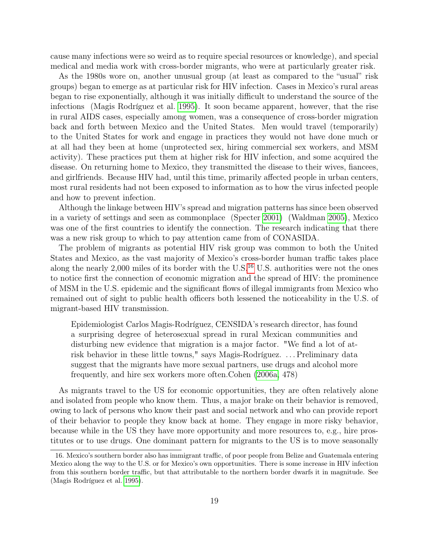cause many infections were so weird as to require special resources or knowledge), and special medical and media work with cross-border migrants, who were at particularly greater risk.

As the 1980s wore on, another unusual group (at least as compared to the "usual" risk groups) began to emerge as at particular risk for HIV infection. Cases in Mexico's rural areas began to rise exponentially, although it was initially difficult to understand the source of the infections (Magis Rodríguez et al. [1995\)](#page-26-9). It soon became apparent, however, that the rise in rural AIDS cases, especially among women, was a consequence of cross-border migration back and forth between Mexico and the United States. Men would travel (temporarily) to the United States for work and engage in practices they would not have done much or at all had they been at home (unprotected sex, hiring commercial sex workers, and MSM activity). These practices put them at higher risk for HIV infection, and some acquired the disease. On returning home to Mexico, they transmitted the disease to their wives, fiancees, and girlfriends. Because HIV had, until this time, primarily affected people in urban centers, most rural residents had not been exposed to information as to how the virus infected people and how to prevent infection.

Although the linkage between HIV's spread and migration patterns has since been observed in a variety of settings and seen as commonplace (Specter [2001\)](#page-27-2) (Waldman [2005\)](#page-27-3), Mexico was one of the first countries to identify the connection. The research indicating that there was a new risk group to which to pay attention came from of CONASIDA.

The problem of migrants as potential HIV risk group was common to both the United States and Mexico, as the vast majority of Mexico's cross-border human traffic takes place along the nearly 2,000 miles of its border with the U.S.<sup>[16](#page-18-0)</sup> U.S. authorities were not the ones to notice first the connection of economic migration and the spread of HIV: the prominence of MSM in the U.S. epidemic and the significant flows of illegal immigrants from Mexico who remained out of sight to public health officers both lessened the noticeability in the U.S. of migrant-based HIV transmission.

Epidemiologist Carlos Magis-Rodríguez, CENSIDA's research director, has found a surprising degree of heterosexual spread in rural Mexican communities and disturbing new evidence that migration is a major factor. "We find a lot of atrisk behavior in these little towns," says Magis-Rodríguez. . . . Preliminary data suggest that the migrants have more sexual partners, use drugs and alcohol more frequently, and hire sex workers more often.Cohen [\(2006a,](#page-25-4) 478)

As migrants travel to the US for economic opportunities, they are often relatively alone and isolated from people who know them. Thus, a major brake on their behavior is removed, owing to lack of persons who know their past and social network and who can provide report of their behavior to people they know back at home. They engage in more risky behavior, because while in the US they have more opportunity and more resources to, e.g., hire prostitutes or to use drugs. One dominant pattern for migrants to the US is to move seasonally

<span id="page-18-0"></span><sup>16.</sup> Mexico's southern border also has immigrant traffic, of poor people from Belize and Guatemala entering Mexico along the way to the U.S. or for Mexico's own opportunities. There is some increase in HIV infection from this southern border traffic, but that attributable to the northern border dwarfs it in magnitude. See (Magis Rodríguez et al. [1995\)](#page-26-9).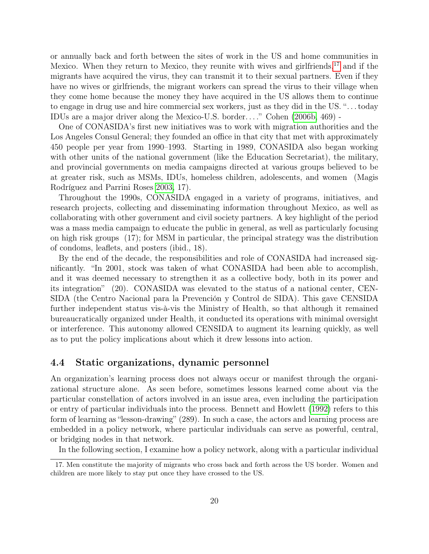or annually back and forth between the sites of work in the US and home communities in Mexico. When they return to Mexico, they reunite with wives and girlfriends,<sup>[17](#page-19-0)</sup> and if the migrants have acquired the virus, they can transmit it to their sexual partners. Even if they have no wives or girlfriends, the migrant workers can spread the virus to their village when they come home because the money they have acquired in the US allows them to continue to engage in drug use and hire commercial sex workers, just as they did in the US. ". . . today IDUs are a major driver along the Mexico-U.S. border. . . ." Cohen [\(2006b,](#page-25-9) 469) -

One of CONASIDA's first new initiatives was to work with migration authorities and the Los Angeles Consul General; they founded an office in that city that met with approximately 450 people per year from 1990–1993. Starting in 1989, CONASIDA also began working with other units of the national government (like the Education Secretariat), the military, and provincial governments on media campaigns directed at various groups believed to be at greater risk, such as MSMs, IDUs, homeless children, adolescents, and women (Magis Rodríguez and Parrini Roses [2003,](#page-26-6) 17).

Throughout the 1990s, CONASIDA engaged in a variety of programs, initiatives, and research projects, collecting and disseminating information throughout Mexico, as well as collaborating with other government and civil society partners. A key highlight of the period was a mass media campaign to educate the public in general, as well as particularly focusing on high risk groups (17); for MSM in particular, the principal strategy was the distribution of condoms, leaflets, and posters (ibid., 18).

By the end of the decade, the responsibilities and role of CONASIDA had increased significantly. "In 2001, stock was taken of what CONASIDA had been able to accomplish, and it was deemed necessary to strengthen it as a collective body, both in its power and its integration" (20). CONASIDA was elevated to the status of a national center, CEN-SIDA (the Centro Nacional para la Prevención y Control de SIDA). This gave CENSIDA further independent status vis-à-vis the Ministry of Health, so that although it remained bureaucratically organized under Health, it conducted its operations with minimal oversight or interference. This autonomy allowed CENSIDA to augment its learning quickly, as well as to put the policy implications about which it drew lessons into action.

### 4.4 Static organizations, dynamic personnel

An organization's learning process does not always occur or manifest through the organizational structure alone. As seen before, sometimes lessons learned come about via the particular constellation of actors involved in an issue area, even including the participation or entry of particular individuals into the process. Bennett and Howlett [\(1992\)](#page-25-10) refers to this form of learning as "lesson-drawing" (289). In such a case, the actors and learning process are embedded in a policy network, where particular individuals can serve as powerful, central, or bridging nodes in that network.

<span id="page-19-0"></span>In the following section, I examine how a policy network, along with a particular individual

<sup>17.</sup> Men constitute the majority of migrants who cross back and forth across the US border. Women and children are more likely to stay put once they have crossed to the US.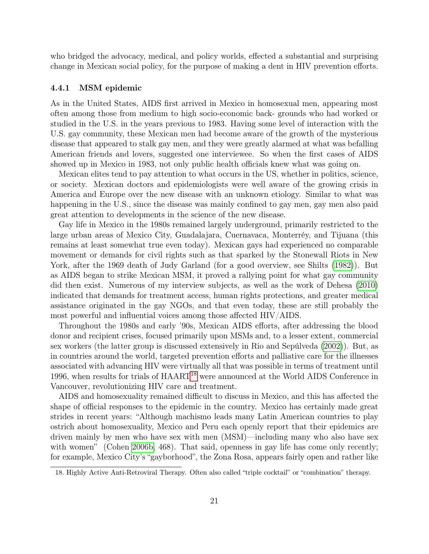who bridged the advocacy, medical, and policy worlds, effected a substantial and surprising change in Mexican social policy, for the purpose of making a dent in HIV prevention efforts.

#### 4.4.1 MSM epidemic

As in the United States, AIDS first arrived in Mexico in homosexual men, appearing most often among those from medium to high socio-economic back- grounds who had worked or studied in the U.S. in the years previous to 1983. Having some level of interaction with the U.S. gay community, these Mexican men had become aware of the growth of the mysterious disease that appeared to stalk gay men, and they were greatly alarmed at what was befalling American friends and lovers, suggested one interviewee. So when the first cases of AIDS showed up in Mexico in 1983, not only public health officials knew what was going on.

Mexican elites tend to pay attention to what occurs in the US, whether in politics, science, or society. Mexican doctors and epidemiologists were well aware of the growing crisis in America and Europe over the new disease with an unknown etiology. Similar to what was happening in the U.S., since the disease was mainly confined to gay men, gay men also paid great attention to developments in the science of the new disease.

Gay life in Mexico in the 1980s remained largely underground, primarily restricted to the large urban areas of Mexico City, Guadalajara, Cuernavaca, Monterréy, and Tijuana (this remains at least somewhat true even today). Mexican gays had experienced no comparable movement or demands for civil rights such as that sparked by the Stonewall Riots in New York, after the 1969 death of Judy Garland (for a good overview, see Shilts [\(1982\)](#page-27-4)). But as AIDS began to strike Mexican MSM, it proved a rallying point for what gay community did then exist. Numerous of my interview subjects, as well as the work of Dehesa [\(2010\)](#page-25-11) indicated that demands for treatment access, human rights protections, and greater medical assistance originated in the gay NGOs, and that even today, these are still probably the most powerful and influential voices among those affected HIV/AIDS.

Throughout the 1980s and early '90s, Mexican AIDS efforts, after addressing the blood donor and recipient crises, focused primarily upon MSMs and, to a lesser extent, commercial sex workers (the latter group is discussed extensively in Rio and Sepúlveda [\(2002\)](#page-26-7)). But, as in countries around the world, targeted prevention efforts and palliative care for the illnesses associated with advancing HIV were virtually all that was possible in terms of treatment until 1996, when results for trials of HAART<sup>[18](#page-20-0)</sup> were announced at the World AIDS Conference in Vancouver, revolutionizing HIV care and treatment.

AIDS and homosexuality remained difficult to discuss in Mexico, and this has affected the shape of official responses to the epidemic in the country. Mexico has certainly made great strides in recent years: "Although machismo leads many Latin American countries to play ostrich about homosexuality, Mexico and Peru each openly report that their epidemics are driven mainly by men who have sex with men (MSM)—including many who also have sex with women" (Cohen [2006b,](#page-25-9) 468). That said, openness in gay life has come only recently; for example, Mexico City's "gayborhood", the Zona Rosa, appears fairly open and rather like

<span id="page-20-0"></span><sup>18.</sup> Highly Active Anti-Retroviral Therapy. Often also called "triple cocktail" or "combination" therapy.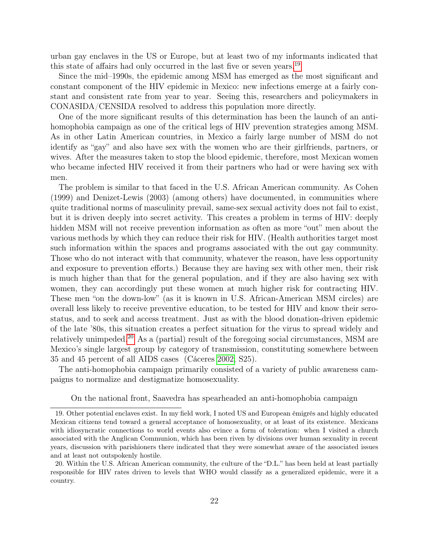urban gay enclaves in the US or Europe, but at least two of my informants indicated that this state of affairs had only occurred in the last five or seven years.<sup>[19](#page-21-0)</sup>

Since the mid–1990s, the epidemic among MSM has emerged as the most significant and constant component of the HIV epidemic in Mexico: new infections emerge at a fairly constant and consistent rate from year to year. Seeing this, researchers and policymakers in CONASIDA/CENSIDA resolved to address this population more directly.

One of the more significant results of this determination has been the launch of an antihomophobia campaign as one of the critical legs of HIV prevention strategies among MSM. As in other Latin American countries, in Mexico a fairly large number of MSM do not identify as "gay" and also have sex with the women who are their girlfriends, partners, or wives. After the measures taken to stop the blood epidemic, therefore, most Mexican women who became infected HIV received it from their partners who had or were having sex with men.

The problem is similar to that faced in the U.S. African American community. As Cohen (1999) and Denizet-Lewis (2003) (among others) have documented, in communities where quite traditional norms of masculinity prevail, same-sex sexual activity does not fail to exist, but it is driven deeply into secret activity. This creates a problem in terms of HIV: deeply hidden MSM will not receive prevention information as often as more "out" men about the various methods by which they can reduce their risk for HIV. (Health authorities target most such information within the spaces and programs associated with the out gay community. Those who do not interact with that community, whatever the reason, have less opportunity and exposure to prevention efforts.) Because they are having sex with other men, their risk is much higher than that for the general population, and if they are also having sex with women, they can accordingly put these women at much higher risk for contracting HIV. These men "on the down-low" (as it is known in U.S. African-American MSM circles) are overall less likely to receive preventive education, to be tested for HIV and know their serostatus, and to seek and access treatment. Just as with the blood donation-driven epidemic of the late '80s, this situation creates a perfect situation for the virus to spread widely and relatively unimpeded.<sup>[20](#page-21-1)</sup> As a (partial) result of the foregoing social circumstances, MSM are Mexico's single largest group by category of transmission, constituting somewhere between 35 and 45 percent of all AIDS cases (Cáceres [2002,](#page-25-12) S25).

The anti-homophobia campaign primarily consisted of a variety of public awareness campaigns to normalize and destigmatize homosexuality.

<span id="page-21-0"></span>On the national front, Saavedra has spearheaded an anti-homophobia campaign

<sup>19.</sup> Other potential enclaves exist. In my field work, I noted US and European émigrés and highly educated Mexican citizens tend toward a general acceptance of homosexuality, or at least of its existence. Mexicans with idiosyncratic connections to world events also evince a form of toleration: when I visited a church associated with the Anglican Communion, which has been riven by divisions over human sexuality in recent years, discussion with parishioners there indicated that they were somewhat aware of the associated issues and at least not outspokenly hostile.

<span id="page-21-1"></span><sup>20.</sup> Within the U.S. African American community, the culture of the "D.L." has been held at least partially responsible for HIV rates driven to levels that WHO would classify as a generalized epidemic, were it a country.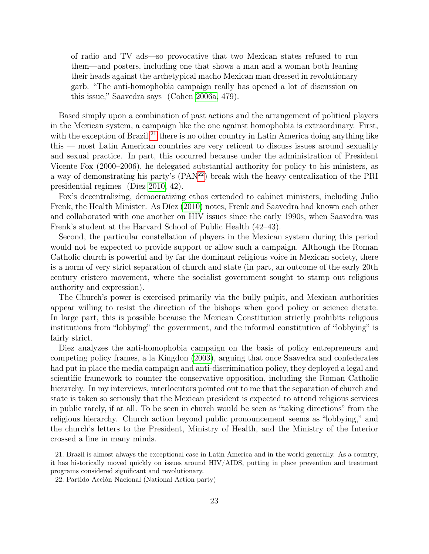of radio and TV ads—so provocative that two Mexican states refused to run them—and posters, including one that shows a man and a woman both leaning their heads against the archetypical macho Mexican man dressed in revolutionary garb. "The anti-homophobia campaign really has opened a lot of discussion on this issue," Saavedra says (Cohen [2006a,](#page-25-4) 479).

Based simply upon a combination of past actions and the arrangement of political players in the Mexican system, a campaign like the one against homophobia is extraordinary. First, with the exception of Brazil,<sup>[21](#page-22-0)</sup> there is no other country in Latin America doing anything like this — most Latin American countries are very reticent to discuss issues around sexuality and sexual practice. In part, this occurred because under the administration of President Vicente Fox (2000–2006), he delegated substantial authority for policy to his ministers, as a way of demonstrating his party's (PAN[22](#page-22-1)) break with the heavy centralization of the PRI presidential regimes (Díez [2010,](#page-25-13) 42).

Fox's decentralizing, democratizing ethos extended to cabinet ministers, including Julio Frenk, the Health Minister. As Díez [\(2010\)](#page-25-13) notes, Frenk and Saavedra had known each other and collaborated with one another on HIV issues since the early 1990s, when Saavedra was Frenk's student at the Harvard School of Public Health (42–43).

Second, the particular constellation of players in the Mexican system during this period would not be expected to provide support or allow such a campaign. Although the Roman Catholic church is powerful and by far the dominant religious voice in Mexican society, there is a norm of very strict separation of church and state (in part, an outcome of the early 20th century cristero movement, where the socialist government sought to stamp out religious authority and expression).

The Church's power is exercised primarily via the bully pulpit, and Mexican authorities appear willing to resist the direction of the bishops when good policy or science dictate. In large part, this is possible because the Mexican Constitution strictly prohibits religious institutions from "lobbying" the government, and the informal constitution of "lobbying" is fairly strict.

Diez analyzes the anti-homophobia campaign on the basis of policy entrepreneurs and competing policy frames, a la Kingdon [\(2003\)](#page-25-14), arguing that once Saavedra and confederates had put in place the media campaign and anti-discrimination policy, they deployed a legal and scientific framework to counter the conservative opposition, including the Roman Catholic hierarchy. In my interviews, interlocutors pointed out to me that the separation of church and state is taken so seriously that the Mexican president is expected to attend religious services in public rarely, if at all. To be seen in church would be seen as "taking directions" from the religious hierarchy. Church action beyond public pronouncement seems as "lobbying," and the church's letters to the President, Ministry of Health, and the Ministry of the Interior crossed a line in many minds.

<span id="page-22-0"></span><sup>21.</sup> Brazil is almost always the exceptional case in Latin America and in the world generally. As a country, it has historically moved quickly on issues around HIV/AIDS, putting in place prevention and treatment programs considered significant and revolutionary.

<span id="page-22-1"></span><sup>22.</sup> Partido Acción Nacional (National Action party)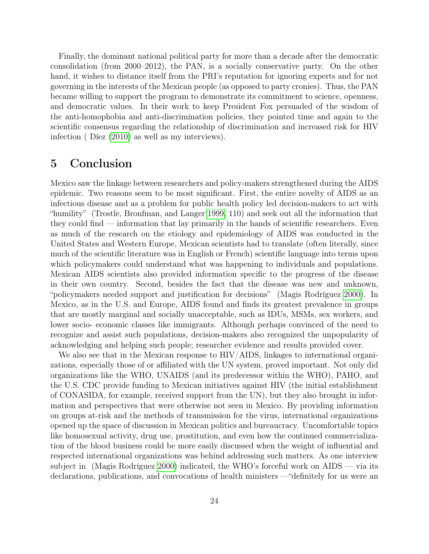Finally, the dominant national political party for more than a decade after the democratic consolidation (from 2000–2012), the PAN, is a socially conservative party. On the other hand, it wishes to distance itself from the PRI's reputation for ignoring experts and for not governing in the interests of the Mexican people (as opposed to party cronies). Thus, the PAN became willing to support the program to demonstrate its commitment to science, openness, and democratic values. In their work to keep President Fox persuaded of the wisdom of the anti-homophobia and anti-discrimination policies, they pointed time and again to the scientific consensus regarding the relationship of discrimination and increased risk for HIV infection ( Díez [\(2010\)](#page-25-13) as well as my interviews).

## 5 Conclusion

Mexico saw the linkage between researchers and policy-makers strengthened during the AIDS epidemic. Two reasons seem to be most significant. First, the entire novelty of AIDS as an infectious disease and as a problem for public health policy led decision-makers to act with "humility" (Trostle, Bronfman, and Langer [1999,](#page-27-5) 110) and seek out all the information that they could find — information that lay primarily in the hands of scientific researchers. Even as much of the research on the etiology and epidemiology of AIDS was conducted in the United States and Western Europe, Mexican scientists had to translate (often literally, since much of the scientific literature was in English or French) scientific language into terms upon which policymakers could understand what was happening to individuals and populations. Mexican AIDS scientists also provided information specific to the progress of the disease in their own country. Second, besides the fact that the disease was new and unknown, "policymakers needed support and justification for decisions" (Magis Rodríguez [2000\)](#page-26-8). In Mexico, as in the U.S. and Europe, AIDS found and finds its greatest prevalence in groups that are mostly marginal and socially unacceptable, such as IDUs, MSMs, sex workers, and lower socio- economic classes like immigrants. Although perhaps convinced of the need to recognize and assist such populations, decision-makers also recognized the unpopularity of acknowledging and helping such people; researcher evidence and results provided cover.

We also see that in the Mexican response to HIV/AIDS, linkages to international organizations, especially those of or affiliated with the UN system, proved important. Not only did organizations like the WHO, UNAIDS (and its predecessor within the WHO), PAHO, and the U.S. CDC provide funding to Mexican initiatives against HIV (the initial establishment of CONASIDA, for example, received support from the UN), but they also brought in information and perspectives that were otherwise not seen in Mexico. By providing information on groups at-risk and the methods of transmission for the virus, international organizations opened up the space of discussion in Mexican politics and bureaucracy. Uncomfortable topics like homosexual activity, drug use, prostitution, and even how the continued commercialization of the blood business could be more easily discussed when the weight of influential and respected international organizations was behind addressing such matters. As one interview subject in (Magis Rodríguez [2000\)](#page-26-8) indicated, the WHO's forceful work on AIDS — via its declarations, publications, and convocations of health ministers —"definitely for us were an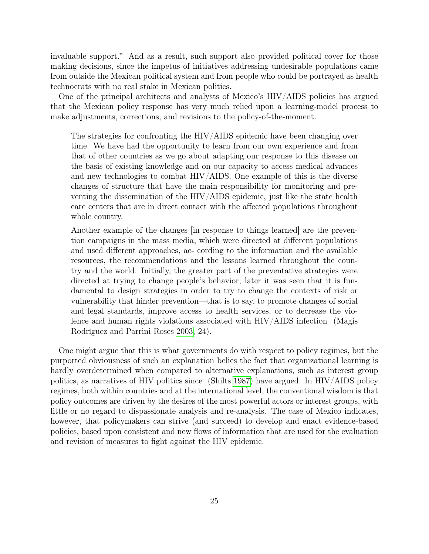invaluable support." And as a result, such support also provided political cover for those making decisions, since the impetus of initiatives addressing undesirable populations came from outside the Mexican political system and from people who could be portrayed as health technocrats with no real stake in Mexican politics.

One of the principal architects and analysts of Mexico's HIV/AIDS policies has argued that the Mexican policy response has very much relied upon a learning-model process to make adjustments, corrections, and revisions to the policy-of-the-moment.

The strategies for confronting the HIV/AIDS epidemic have been changing over time. We have had the opportunity to learn from our own experience and from that of other countries as we go about adapting our response to this disease on the basis of existing knowledge and on our capacity to access medical advances and new technologies to combat HIV/AIDS. One example of this is the diverse changes of structure that have the main responsibility for monitoring and preventing the dissemination of the HIV/AIDS epidemic, just like the state health care centers that are in direct contact with the affected populations throughout whole country.

Another example of the changes [in response to things learned] are the prevention campaigns in the mass media, which were directed at different populations and used different approaches, ac- cording to the information and the available resources, the recommendations and the lessons learned throughout the country and the world. Initially, the greater part of the preventative strategies were directed at trying to change people's behavior; later it was seen that it is fundamental to design strategies in order to try to change the contexts of risk or vulnerability that hinder prevention—that is to say, to promote changes of social and legal standards, improve access to health services, or to decrease the violence and human rights violations associated with HIV/AIDS infection (Magis Rodríguez and Parrini Roses [2003,](#page-26-6) 24).

One might argue that this is what governments do with respect to policy regimes, but the purported obviousness of such an explanation belies the fact that organizational learning is hardly overdetermined when compared to alternative explanations, such as interest group politics, as narratives of HIV politics since (Shilts [1987\)](#page-27-6) have argued. In HIV/AIDS policy regimes, both within countries and at the international level, the conventional wisdom is that policy outcomes are driven by the desires of the most powerful actors or interest groups, with little or no regard to dispassionate analysis and re-analysis. The case of Mexico indicates, however, that policymakers can strive (and succeed) to develop and enact evidence-based policies, based upon consistent and new flows of information that are used for the evaluation and revision of measures to fight against the HIV epidemic.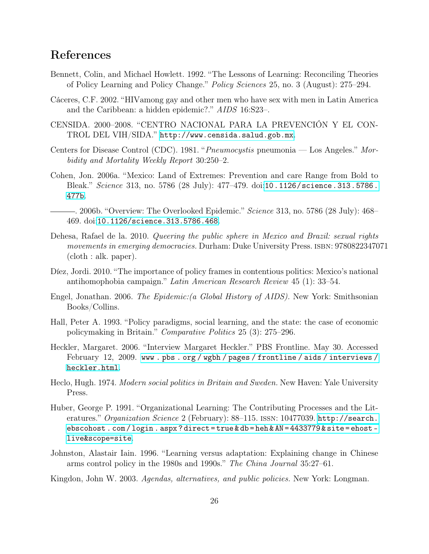### References

- <span id="page-25-10"></span>Bennett, Colin, and Michael Howlett. 1992. "The Lessons of Learning: Reconciling Theories of Policy Learning and Policy Change." Policy Sciences 25, no. 3 (August): 275–294.
- <span id="page-25-12"></span>Cáceres, C.F. 2002. "HIVamong gay and other men who have sex with men in Latin America and the Caribbean: a hidden epidemic?." AIDS 16:S23–.
- <span id="page-25-6"></span>CENSIDA. 2000–2008. "CENTRO NACIONAL PARA LA PREVENCIÓN Y EL CON-TROL DEL VIH/SIDA." <http://www.censida.salud.gob.mx>.
- <span id="page-25-5"></span>Centers for Disease Control (CDC). 1981. "Pneumocystis pneumonia — Los Angeles." Morbidity and Mortality Weekly Report 30:250–2.
- <span id="page-25-4"></span>Cohen, Jon. 2006a. "Mexico: Land of Extremes: Prevention and care Range from Bold to Bleak." Science 313, no. 5786 (28 July): 477–479. doi:[10.1126/science.313.5786.](http://dx.doi.org/10.1126/science.313.5786.477b) [477b](http://dx.doi.org/10.1126/science.313.5786.477b).
- <span id="page-25-9"></span>. 2006b. "Overview: The Overlooked Epidemic." *Science* 313, no. 5786 (28 July): 468– 469. doi:[10.1126/science.313.5786.468](http://dx.doi.org/10.1126/science.313.5786.468).
- <span id="page-25-11"></span>Dehesa, Rafael de la. 2010. Queering the public sphere in Mexico and Brazil: sexual rights movements in emerging democracies. Durham: Duke University Press. ISBN: 9780822347071 (cloth : alk. paper).
- <span id="page-25-13"></span>Díez, Jordi. 2010. "The importance of policy frames in contentious politics: Mexico's national antihomophobia campaign." Latin American Research Review 45 (1): 33–54.
- <span id="page-25-8"></span>Engel, Jonathan. 2006. The Epidemic:(a Global History of AIDS). New York: Smithsonian Books/Collins.
- <span id="page-25-0"></span>Hall, Peter A. 1993. "Policy paradigms, social learning, and the state: the case of economic policymaking in Britain." Comparative Politics 25 (3): 275–296.
- <span id="page-25-7"></span>Heckler, Margaret. 2006. "Interview Margaret Heckler." PBS Frontline. May 30. Accessed February 12, 2009. [www . pbs . org / wgbh / pages / frontline / aids / interviews /](www.pbs.org/wgbh/pages/frontline/aids/interviews/heckler.html) [heckler.html](www.pbs.org/wgbh/pages/frontline/aids/interviews/heckler.html).
- <span id="page-25-1"></span>Heclo, Hugh. 1974. Modern social politics in Britain and Sweden. New Haven: Yale University Press.
- <span id="page-25-2"></span>Huber, George P. 1991. "Organizational Learning: The Contributing Processes and the Literatures." Organization Science 2 (February): 88–115. ISSN: 10477039. [http://search.](http://search.ebscohost.com/login.aspx?direct=true&db=heh&AN=4433779&site=ehost-live&scope=site) [ebscohost . com / login . aspx ? direct = true & db = heh & AN = 4433779 & site = ehost](http://search.ebscohost.com/login.aspx?direct=true&db=heh&AN=4433779&site=ehost-live&scope=site)  [live&scope=site](http://search.ebscohost.com/login.aspx?direct=true&db=heh&AN=4433779&site=ehost-live&scope=site).
- <span id="page-25-3"></span>Johnston, Alastair Iain. 1996. "Learning versus adaptation: Explaining change in Chinese arms control policy in the 1980s and 1990s." The China Journal 35:27–61.
- <span id="page-25-14"></span>Kingdon, John W. 2003. Agendas, alternatives, and public policies. New York: Longman.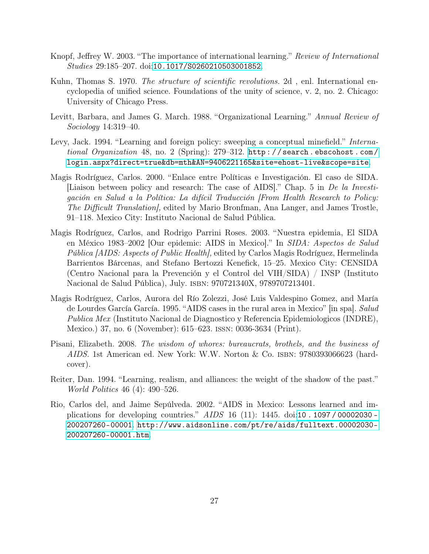- <span id="page-26-1"></span>Knopf, Jeffrey W. 2003. "The importance of international learning." Review of International Studies 29:185–207. doi:[10.1017/S0260210503001852](http://dx.doi.org/10.1017/S0260210503001852).
- <span id="page-26-4"></span>Kuhn, Thomas S. 1970. The structure of scientific revolutions. 2d, enl. International encyclopedia of unified science. Foundations of the unity of science, v. 2, no. 2. Chicago: University of Chicago Press.
- <span id="page-26-2"></span>Levitt, Barbara, and James G. March. 1988. "Organizational Learning." Annual Review of Sociology 14:319–40.
- <span id="page-26-0"></span>Levy, Jack. 1994. "Learning and foreign policy: sweeping a conceptual minefield." *Interna*tional Organization 48, no. 2 (Spring): 279–312. [http : / / search . ebscohost . com /](http://search.ebscohost.com/login.aspx?direct=true&db=mth&AN=9406221165&site=ehost-live&scope=site) [login.aspx?direct=true&db=mth&AN=9406221165&site=ehost-live&scope=site](http://search.ebscohost.com/login.aspx?direct=true&db=mth&AN=9406221165&site=ehost-live&scope=site).
- <span id="page-26-8"></span>Magis Rodríguez, Carlos. 2000. "Enlace entre Políticas e Investigación. El caso de SIDA. [Liaison between policy and research: The case of AIDS]." Chap. 5 in De la Investigación en Salud a la Política: La difícil Traducción [From Health Research to Policy: The Difficult Translation], edited by Mario Bronfman, Ana Langer, and James Trostle, 91–118. Mexico City: Instituto Nacional de Salud Pública.
- <span id="page-26-6"></span>Magis Rodríguez, Carlos, and Rodrigo Parrini Roses. 2003. "Nuestra epidemia, El SIDA en México 1983–2002 [Our epidemic: AIDS in Mexico]." In SIDA: Aspectos de Salud Pública [AIDS: Aspects of Public Health], edited by Carlos Magis Rodríguez, Hermelinda Barrientos Bárcenas, and Stefano Bertozzi Kenefick, 15–25. Mexico City: CENSIDA (Centro Nacional para la Prevención y el Control del VIH/SIDA) / INSP (Instituto Nacional de Salud Pública), July. isbn: 970721340X, 9789707213401.
- <span id="page-26-9"></span>Magis Rodríguez, Carlos, Aurora del Río Zolezzi, José Luis Valdespino Gomez, and María de Lourdes García García. 1995. "AIDS cases in the rural area in Mexico" [in spa]. Salud Publica Mex (Instituto Nacional de Diagnostico y Referencia Epidemiologicos (INDRE), Mexico.) 37, no. 6 (November): 615–623. issn: 0036-3634 (Print).
- <span id="page-26-5"></span>Pisani, Elizabeth. 2008. The wisdom of whores: bureaucrats, brothels, and the business of AIDS. 1st American ed. New York: W.W. Norton & Co. ISBN: 9780393066623 (hardcover).
- <span id="page-26-3"></span>Reiter, Dan. 1994. "Learning, realism, and alliances: the weight of the shadow of the past." World Politics 46 (4): 490–526.
- <span id="page-26-7"></span>Rio, Carlos del, and Jaime Sepúlveda. 2002. "AIDS in Mexico: Lessons learned and implications for developing countries." AIDS 16 (11): 1445. doi:[10 . 1097 / 00002030 -](http://dx.doi.org/10.1097/00002030-200207260-00001) [200207260-00001](http://dx.doi.org/10.1097/00002030-200207260-00001). [http://www.aidsonline.com/pt/re/aids/fulltext.00002030-](http://www.aidsonline.com/pt/re/aids/fulltext.00002030-200207260-00001.htm) [200207260-00001.htm](http://www.aidsonline.com/pt/re/aids/fulltext.00002030-200207260-00001.htm).